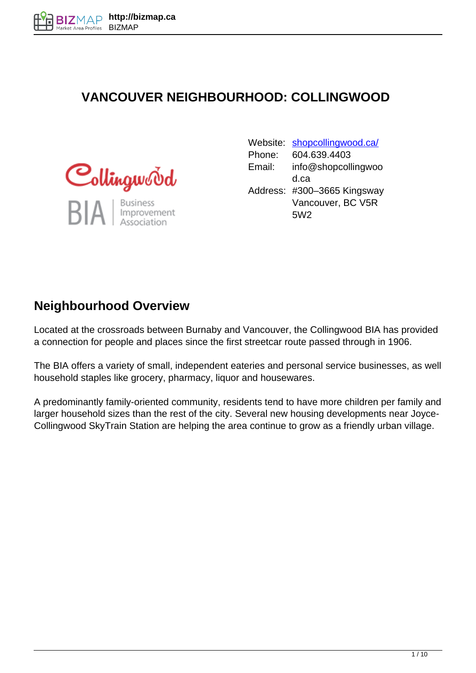### **VANCOUVER NEIGHBOURHOOD: COLLINGWOOD**



Website: [shopcollingwood.ca/](http://shopcollingwood.ca/) Phone: 604.639.4403 Email: info@shopcollingwoo d.ca Address: #300–3665 Kingsway Vancouver, BC V5R 5W2

### **Neighbourhood Overview**

Located at the crossroads between Burnaby and Vancouver, the Collingwood BIA has provided a connection for people and places since the first streetcar route passed through in 1906.

The BIA offers a variety of small, independent eateries and personal service businesses, as well household staples like grocery, pharmacy, liquor and housewares.

A predominantly family-oriented community, residents tend to have more children per family and larger household sizes than the rest of the city. Several new housing developments near Joyce-Collingwood SkyTrain Station are helping the area continue to grow as a friendly urban village.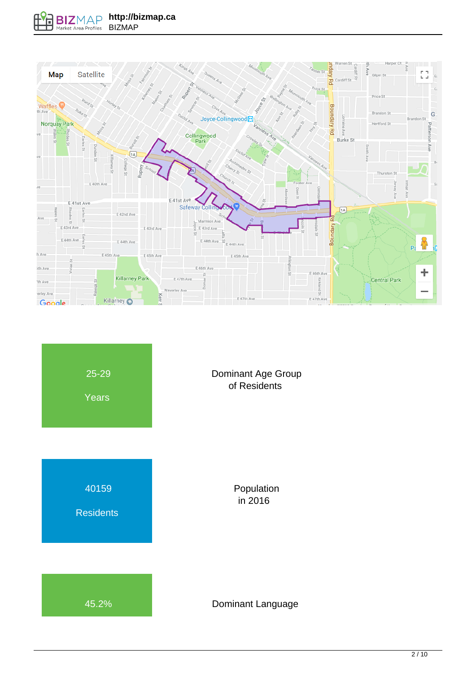

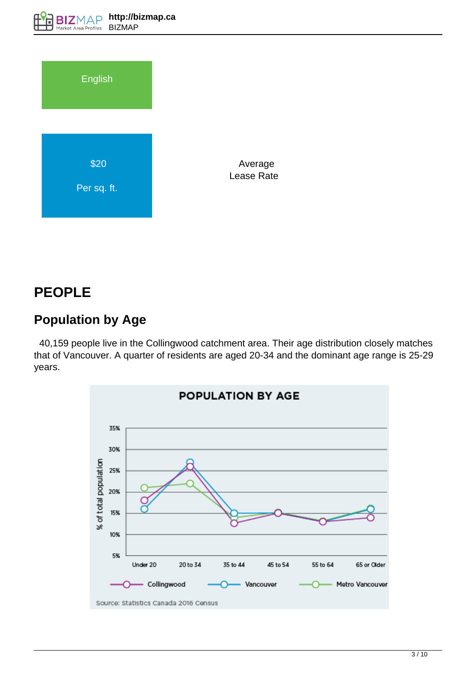

 Average Lease Rate

## **PEOPLE**

## **Population by Age**

 40,159 people live in the Collingwood catchment area. Their age distribution closely matches that of Vancouver. A quarter of residents are aged 20-34 and the dominant age range is 25-29 years.

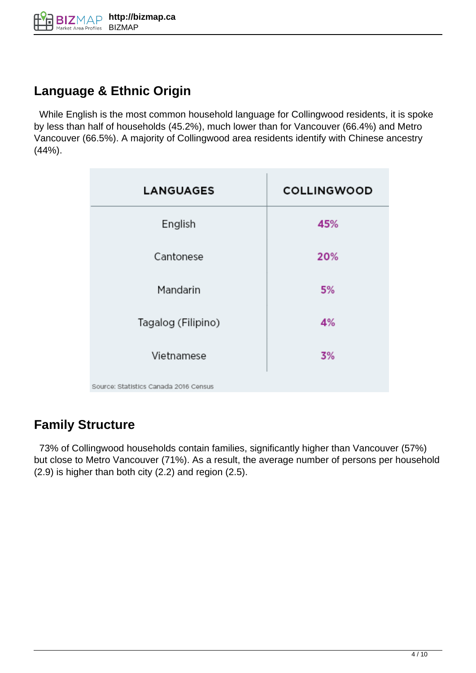## **Language & Ethnic Origin**

 While English is the most common household language for Collingwood residents, it is spoke by less than half of households (45.2%), much lower than for Vancouver (66.4%) and Metro Vancouver (66.5%). A majority of Collingwood area residents identify with Chinese ancestry (44%).

| <b>LANGUAGES</b>                      | <b>COLLINGWOOD</b> |
|---------------------------------------|--------------------|
| English                               | 45%                |
| Cantonese                             | 20%                |
| Mandarin                              | 5%                 |
| Tagalog (Filipino)                    | 4%                 |
| Vietnamese                            | 3%                 |
| Source: Statistics Canada 2016 Census |                    |

## **Family Structure**

 73% of Collingwood households contain families, significantly higher than Vancouver (57%) but close to Metro Vancouver (71%). As a result, the average number of persons per household (2.9) is higher than both city (2.2) and region (2.5).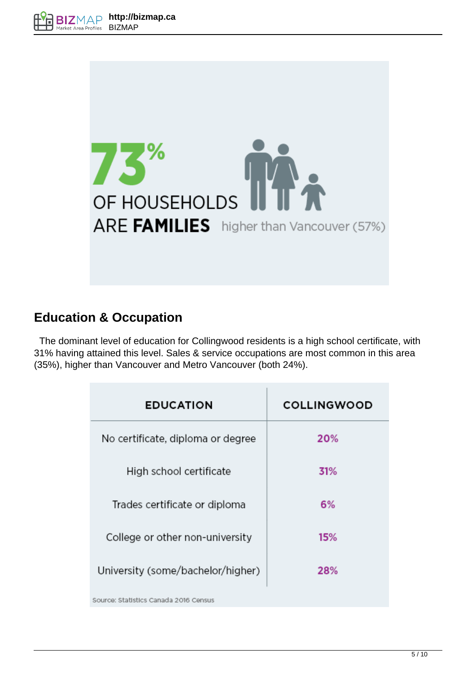

### **Education & Occupation**

 The dominant level of education for Collingwood residents is a high school certificate, with 31% having attained this level. Sales & service occupations are most common in this area (35%), higher than Vancouver and Metro Vancouver (both 24%).

| <b>EDUCATION</b>                      | <b>COLLINGWOOD</b> |
|---------------------------------------|--------------------|
| No certificate, diploma or degree     | 20%                |
| High school certificate               | 31%                |
| Trades certificate or diploma         | 6%                 |
| College or other non-university       | 15%                |
| University (some/bachelor/higher)     | 28%                |
| Source: Statistics Canada 2016 Census |                    |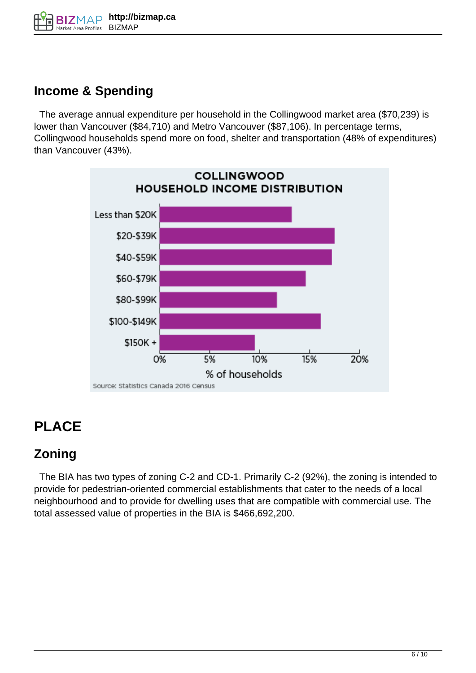

#### **Income & Spending**

 The average annual expenditure per household in the Collingwood market area (\$70,239) is lower than Vancouver (\$84,710) and Metro Vancouver (\$87,106). In percentage terms, Collingwood households spend more on food, shelter and transportation (48% of expenditures) than Vancouver (43%).



# **PLACE**

#### **Zoning**

 The BIA has two types of zoning C-2 and CD-1. Primarily C-2 (92%), the zoning is intended to provide for pedestrian-oriented commercial establishments that cater to the needs of a local neighbourhood and to provide for dwelling uses that are compatible with commercial use. The total assessed value of properties in the BIA is \$466,692,200.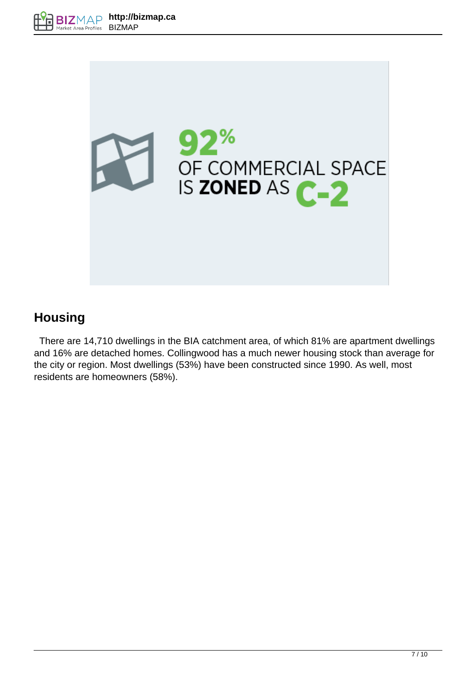

## **Housing**

 There are 14,710 dwellings in the BIA catchment area, of which 81% are apartment dwellings and 16% are detached homes. Collingwood has a much newer housing stock than average for the city or region. Most dwellings (53%) have been constructed since 1990. As well, most residents are homeowners (58%).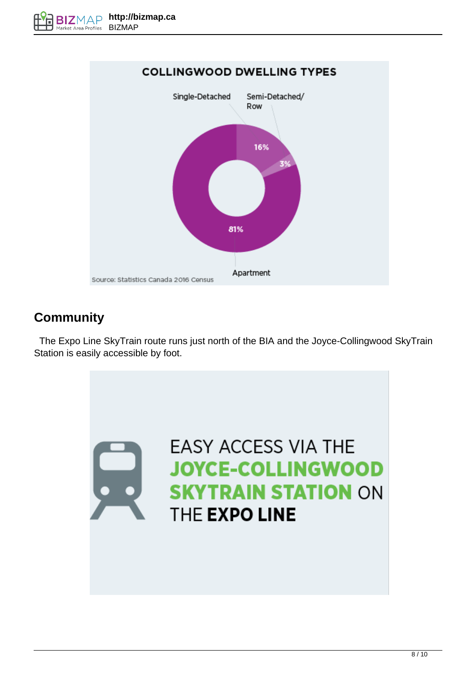

## **Community**

 The Expo Line SkyTrain route runs just north of the BIA and the Joyce-Collingwood SkyTrain Station is easily accessible by foot.

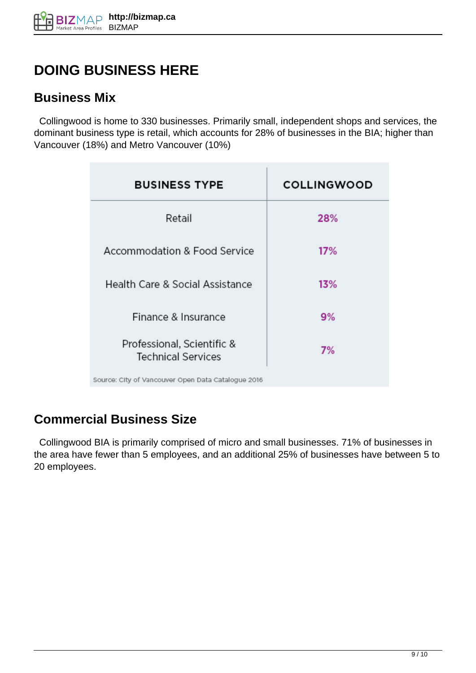# **DOING BUSINESS HERE**

#### **Business Mix**

 Collingwood is home to 330 businesses. Primarily small, independent shops and services, the dominant business type is retail, which accounts for 28% of businesses in the BIA; higher than Vancouver (18%) and Metro Vancouver (10%)

| <b>BUSINESS TYPE</b>                                    | <b>COLLINGWOOD</b> |
|---------------------------------------------------------|--------------------|
| Retail                                                  | 28%                |
| <b>Accommodation &amp; Food Service</b>                 | 17%                |
| Health Care & Social Assistance                         | 13%                |
| Finance & Insurance                                     | 9%                 |
| Professional, Scientific &<br><b>Technical Services</b> | 7%                 |
| Source: City of Vancouver Open Data Catalogue 2016      |                    |

## **Commercial Business Size**

 Collingwood BIA is primarily comprised of micro and small businesses. 71% of businesses in the area have fewer than 5 employees, and an additional 25% of businesses have between 5 to 20 employees.